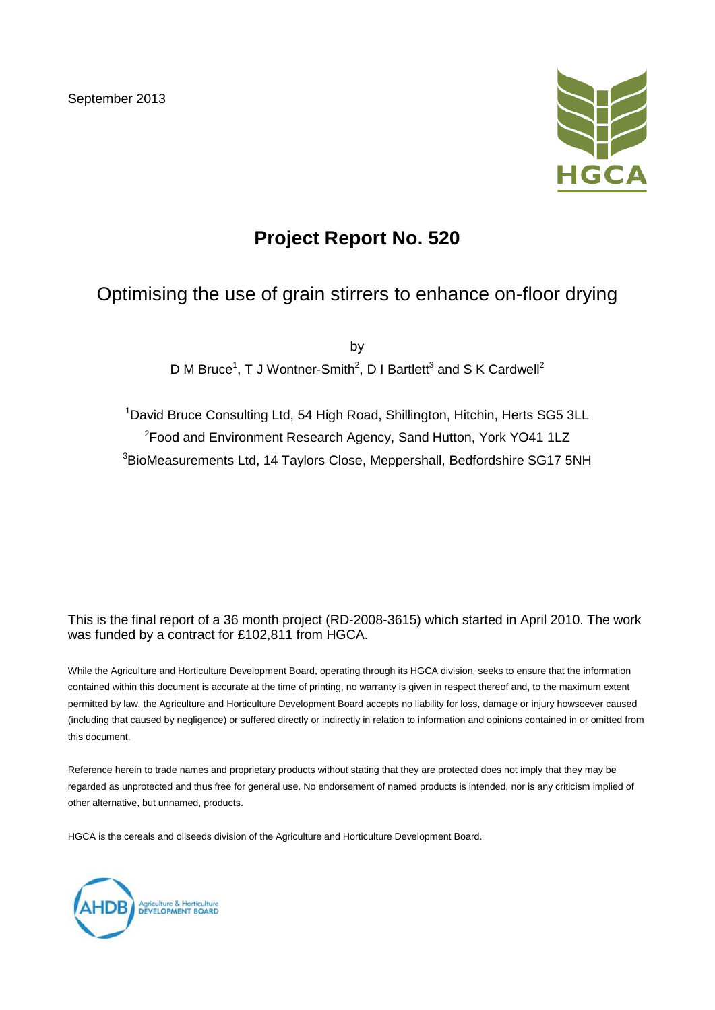September 2013



## **Project Report No. 520**

## Optimising the use of grain stirrers to enhance on-floor drying

by D M Bruce<sup>1</sup>, T J Wontner-Smith<sup>2</sup>, D I Bartlett<sup>3</sup> and S K Cardwell<sup>2</sup>

<sup>1</sup>David Bruce Consulting Ltd, 54 High Road, Shillington, Hitchin, Herts SG5 3LL 2 Food and Environment Research Agency, Sand Hutton, York YO41 1LZ 3 BioMeasurements Ltd, 14 Taylors Close, Meppershall, Bedfordshire SG17 5NH

This is the final report of a 36 month project (RD-2008-3615) which started in April 2010. The work was funded by a contract for £102,811 from HGCA.

While the Agriculture and Horticulture Development Board, operating through its HGCA division, seeks to ensure that the information contained within this document is accurate at the time of printing, no warranty is given in respect thereof and, to the maximum extent permitted by law, the Agriculture and Horticulture Development Board accepts no liability for loss, damage or injury howsoever caused (including that caused by negligence) or suffered directly or indirectly in relation to information and opinions contained in or omitted from this document.

Reference herein to trade names and proprietary products without stating that they are protected does not imply that they may be regarded as unprotected and thus free for general use. No endorsement of named products is intended, nor is any criticism implied of other alternative, but unnamed, products.

HGCA is the cereals and oilseeds division of the Agriculture and Horticulture Development Board.

Agriculture & Horticulture<br>DEVELOPMENT BOARD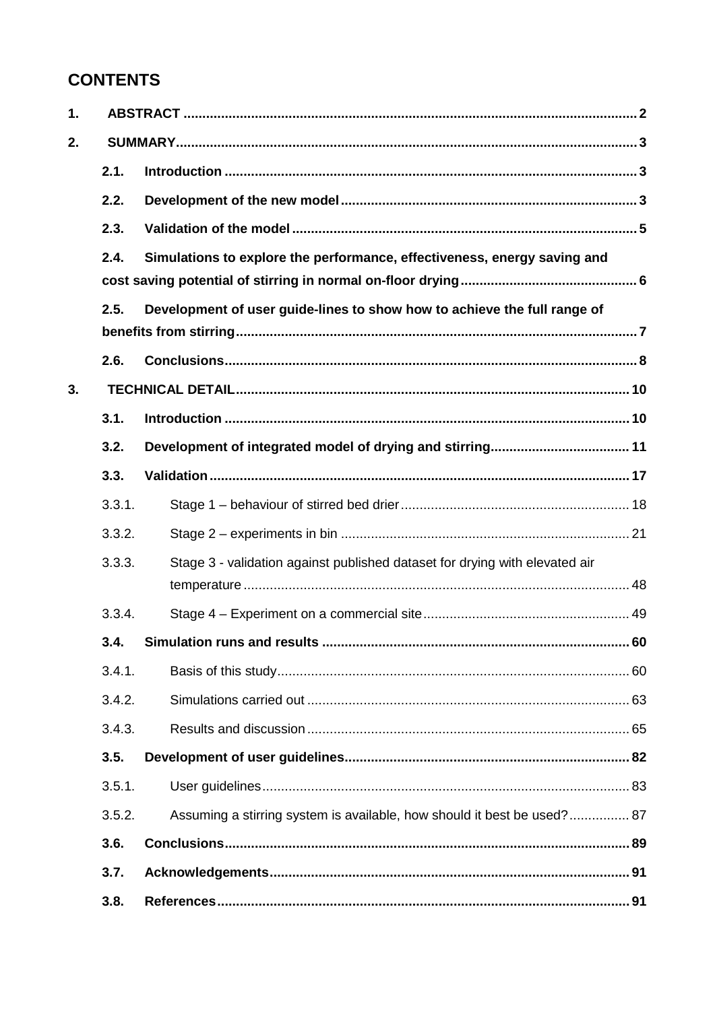## **CONTENTS**

| 1. |        |                                                                             |    |
|----|--------|-----------------------------------------------------------------------------|----|
| 2. |        |                                                                             |    |
|    | 2.1.   |                                                                             |    |
|    | 2.2.   |                                                                             |    |
|    | 2.3.   |                                                                             |    |
|    | 2.4.   | Simulations to explore the performance, effectiveness, energy saving and    |    |
|    | 2.5.   | Development of user guide-lines to show how to achieve the full range of    |    |
|    | 2.6.   |                                                                             |    |
| 3. |        |                                                                             |    |
|    | 3.1.   |                                                                             |    |
|    | 3.2.   |                                                                             |    |
|    | 3.3.   |                                                                             |    |
|    | 3.3.1. |                                                                             |    |
|    | 3.3.2. |                                                                             |    |
|    | 3.3.3. | Stage 3 - validation against published dataset for drying with elevated air |    |
|    | 3.3.4. |                                                                             |    |
|    | 3.4.   | Simulation runs and results                                                 | 60 |
|    | 3.4.1. |                                                                             |    |
|    | 3.4.2. |                                                                             |    |
|    | 3.4.3. |                                                                             |    |
|    | 3.5.   |                                                                             |    |
|    | 3.5.1. |                                                                             |    |
|    | 3.5.2. | Assuming a stirring system is available, how should it best be used? 87     |    |
|    | 3.6.   |                                                                             |    |
|    | 3.7.   |                                                                             |    |
|    | 3.8.   |                                                                             |    |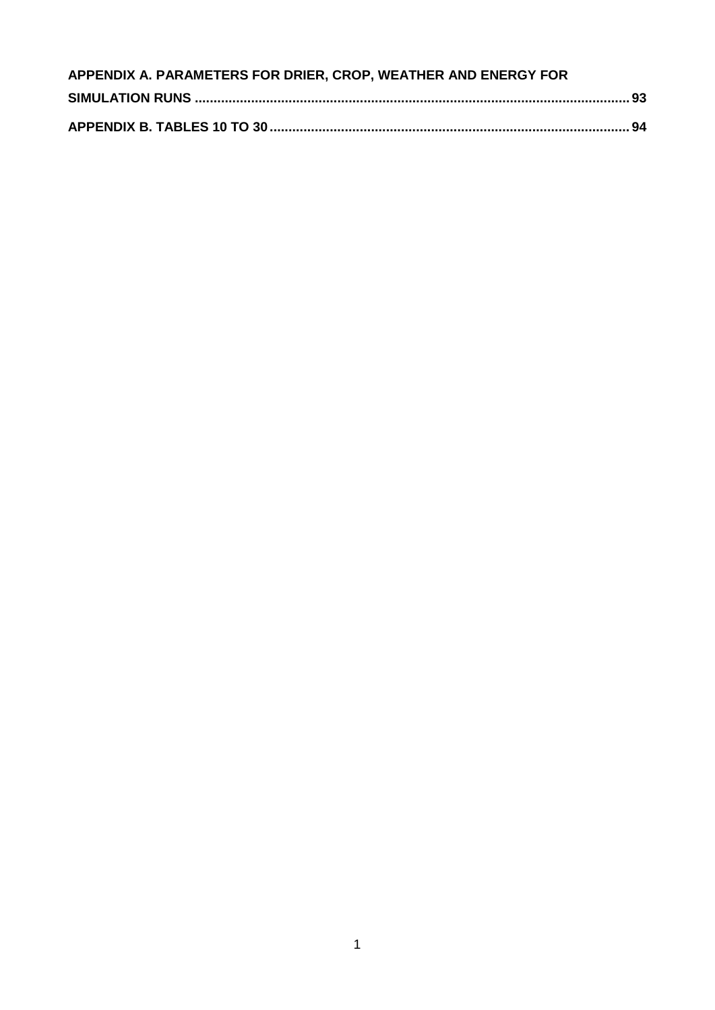| APPENDIX A. PARAMETERS FOR DRIER, CROP, WEATHER AND ENERGY FOR |  |
|----------------------------------------------------------------|--|
|                                                                |  |
|                                                                |  |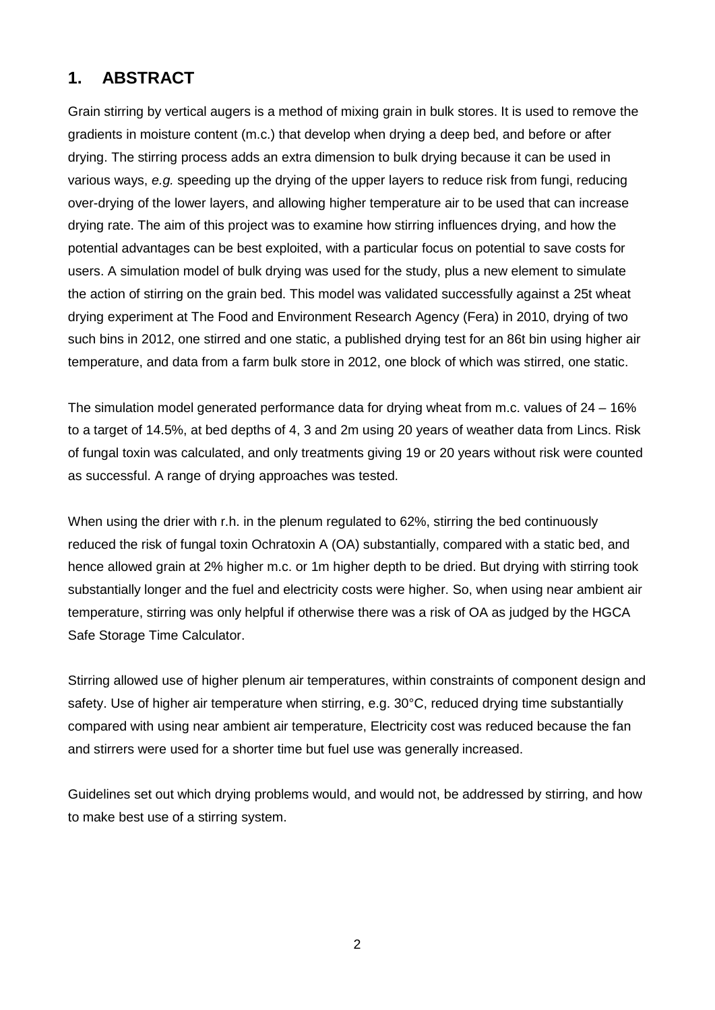### **1. ABSTRACT**

Grain stirring by vertical augers is a method of mixing grain in bulk stores. It is used to remove the gradients in moisture content (m.c.) that develop when drying a deep bed, and before or after drying. The stirring process adds an extra dimension to bulk drying because it can be used in various ways, *e.g.* speeding up the drying of the upper layers to reduce risk from fungi, reducing over-drying of the lower layers, and allowing higher temperature air to be used that can increase drying rate. The aim of this project was to examine how stirring influences drying, and how the potential advantages can be best exploited, with a particular focus on potential to save costs for users. A simulation model of bulk drying was used for the study, plus a new element to simulate the action of stirring on the grain bed. This model was validated successfully against a 25t wheat drying experiment at The Food and Environment Research Agency (Fera) in 2010, drying of two such bins in 2012, one stirred and one static, a published drying test for an 86t bin using higher air temperature, and data from a farm bulk store in 2012, one block of which was stirred, one static.

The simulation model generated performance data for drying wheat from m.c. values of 24 – 16% to a target of 14.5%, at bed depths of 4, 3 and 2m using 20 years of weather data from Lincs. Risk of fungal toxin was calculated, and only treatments giving 19 or 20 years without risk were counted as successful. A range of drying approaches was tested.

When using the drier with r.h. in the plenum regulated to 62%, stirring the bed continuously reduced the risk of fungal toxin Ochratoxin A (OA) substantially, compared with a static bed, and hence allowed grain at 2% higher m.c. or 1m higher depth to be dried. But drying with stirring took substantially longer and the fuel and electricity costs were higher. So, when using near ambient air temperature, stirring was only helpful if otherwise there was a risk of OA as judged by the HGCA Safe Storage Time Calculator.

Stirring allowed use of higher plenum air temperatures, within constraints of component design and safety. Use of higher air temperature when stirring, e.g. 30°C, reduced drying time substantially compared with using near ambient air temperature, Electricity cost was reduced because the fan and stirrers were used for a shorter time but fuel use was generally increased.

Guidelines set out which drying problems would, and would not, be addressed by stirring, and how to make best use of a stirring system.

2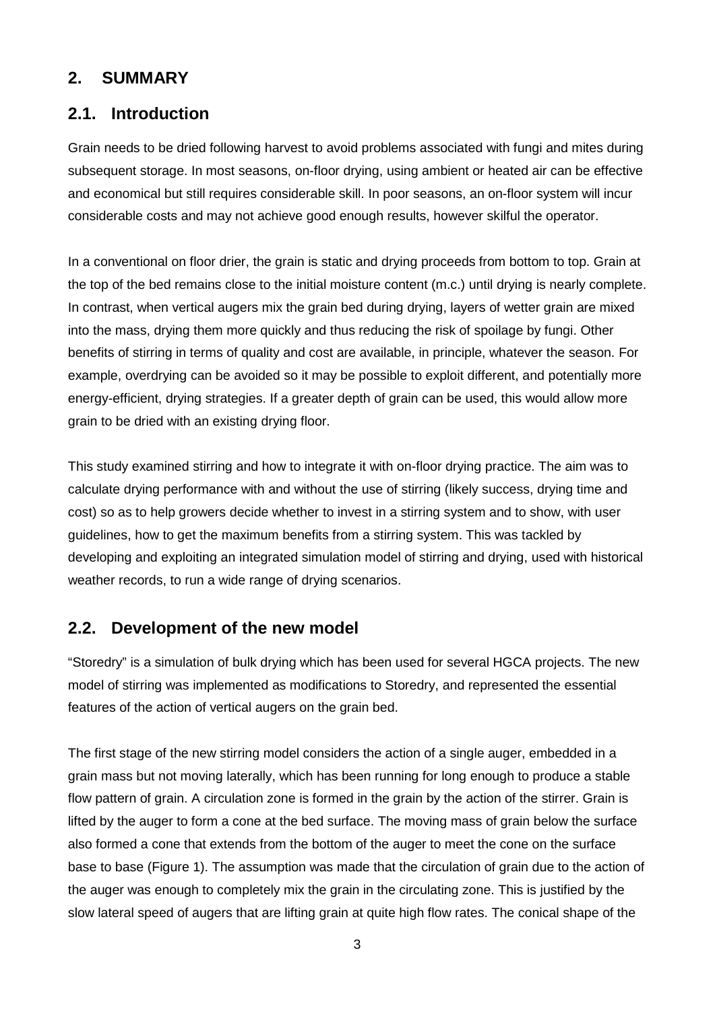#### **2. SUMMARY**

#### **2.1. Introduction**

Grain needs to be dried following harvest to avoid problems associated with fungi and mites during subsequent storage. In most seasons, on-floor drying, using ambient or heated air can be effective and economical but still requires considerable skill. In poor seasons, an on-floor system will incur considerable costs and may not achieve good enough results, however skilful the operator.

In a conventional on floor drier, the grain is static and drying proceeds from bottom to top. Grain at the top of the bed remains close to the initial moisture content (m.c.) until drying is nearly complete. In contrast, when vertical augers mix the grain bed during drying, layers of wetter grain are mixed into the mass, drying them more quickly and thus reducing the risk of spoilage by fungi. Other benefits of stirring in terms of quality and cost are available, in principle, whatever the season. For example, overdrying can be avoided so it may be possible to exploit different, and potentially more energy-efficient, drying strategies. If a greater depth of grain can be used, this would allow more grain to be dried with an existing drying floor.

This study examined stirring and how to integrate it with on-floor drying practice. The aim was to calculate drying performance with and without the use of stirring (likely success, drying time and cost) so as to help growers decide whether to invest in a stirring system and to show, with user guidelines, how to get the maximum benefits from a stirring system. This was tackled by developing and exploiting an integrated simulation model of stirring and drying, used with historical weather records, to run a wide range of drying scenarios.

#### **2.2. Development of the new model**

"Storedry" is a simulation of bulk drying which has been used for several HGCA projects. The new model of stirring was implemented as modifications to Storedry, and represented the essential features of the action of vertical augers on the grain bed.

The first stage of the new stirring model considers the action of a single auger, embedded in a grain mass but not moving laterally, which has been running for long enough to produce a stable flow pattern of grain. A circulation zone is formed in the grain by the action of the stirrer. Grain is lifted by the auger to form a cone at the bed surface. The moving mass of grain below the surface also formed a cone that extends from the bottom of the auger to meet the cone on the surface base to base (Figure 1). The assumption was made that the circulation of grain due to the action of the auger was enough to completely mix the grain in the circulating zone. This is justified by the slow lateral speed of augers that are lifting grain at quite high flow rates. The conical shape of the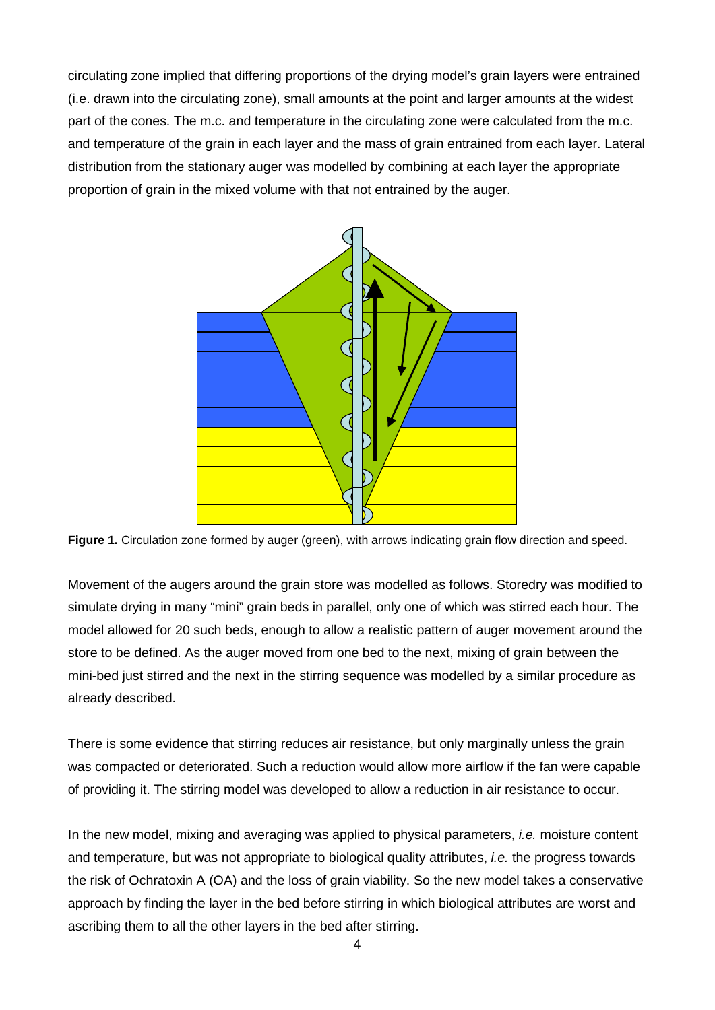circulating zone implied that differing proportions of the drying model's grain layers were entrained (i.e. drawn into the circulating zone), small amounts at the point and larger amounts at the widest part of the cones. The m.c. and temperature in the circulating zone were calculated from the m.c. and temperature of the grain in each layer and the mass of grain entrained from each layer. Lateral distribution from the stationary auger was modelled by combining at each layer the appropriate proportion of grain in the mixed volume with that not entrained by the auger.



**Figure 1.** Circulation zone formed by auger (green), with arrows indicating grain flow direction and speed.

Movement of the augers around the grain store was modelled as follows. Storedry was modified to simulate drying in many "mini" grain beds in parallel, only one of which was stirred each hour. The model allowed for 20 such beds, enough to allow a realistic pattern of auger movement around the store to be defined. As the auger moved from one bed to the next, mixing of grain between the mini-bed just stirred and the next in the stirring sequence was modelled by a similar procedure as already described.

There is some evidence that stirring reduces air resistance, but only marginally unless the grain was compacted or deteriorated. Such a reduction would allow more airflow if the fan were capable of providing it. The stirring model was developed to allow a reduction in air resistance to occur.

In the new model, mixing and averaging was applied to physical parameters, *i.e.* moisture content and temperature, but was not appropriate to biological quality attributes, *i.e.* the progress towards the risk of Ochratoxin A (OA) and the loss of grain viability. So the new model takes a conservative approach by finding the layer in the bed before stirring in which biological attributes are worst and ascribing them to all the other layers in the bed after stirring.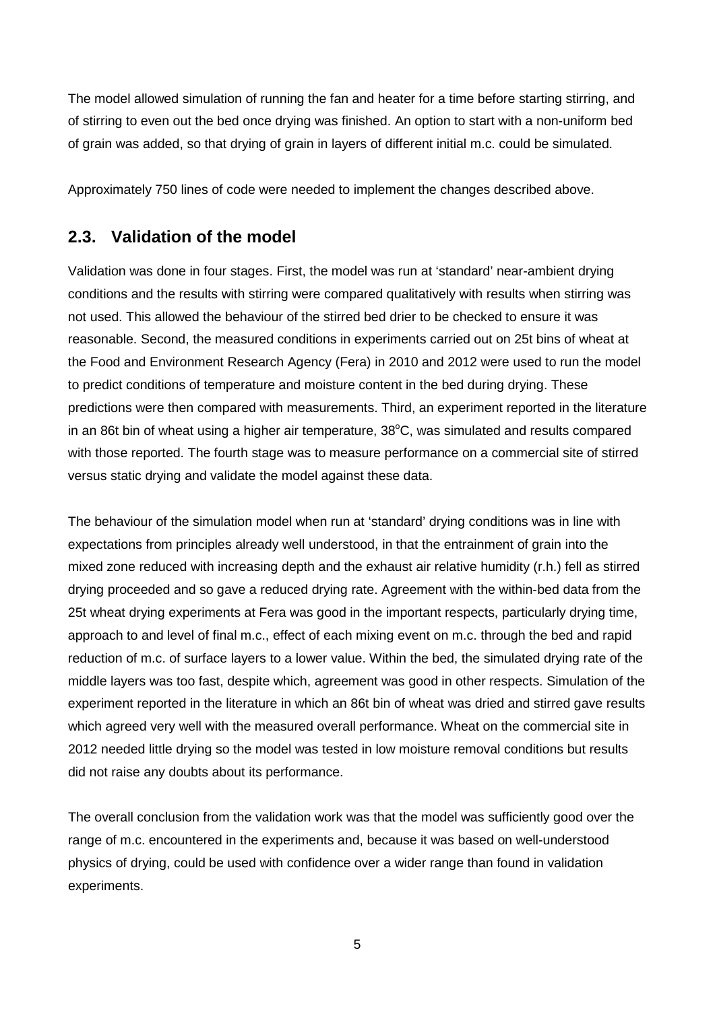The model allowed simulation of running the fan and heater for a time before starting stirring, and of stirring to even out the bed once drying was finished. An option to start with a non-uniform bed of grain was added, so that drying of grain in layers of different initial m.c. could be simulated.

Approximately 750 lines of code were needed to implement the changes described above.

#### **2.3. Validation of the model**

Validation was done in four stages. First, the model was run at 'standard' near-ambient drying conditions and the results with stirring were compared qualitatively with results when stirring was not used. This allowed the behaviour of the stirred bed drier to be checked to ensure it was reasonable. Second, the measured conditions in experiments carried out on 25t bins of wheat at the Food and Environment Research Agency (Fera) in 2010 and 2012 were used to run the model to predict conditions of temperature and moisture content in the bed during drying. These predictions were then compared with measurements. Third, an experiment reported in the literature in an 86t bin of wheat using a higher air temperature,  $38^{\circ}$ C, was simulated and results compared with those reported. The fourth stage was to measure performance on a commercial site of stirred versus static drying and validate the model against these data.

The behaviour of the simulation model when run at 'standard' drying conditions was in line with expectations from principles already well understood, in that the entrainment of grain into the mixed zone reduced with increasing depth and the exhaust air relative humidity (r.h.) fell as stirred drying proceeded and so gave a reduced drying rate. Agreement with the within-bed data from the 25t wheat drying experiments at Fera was good in the important respects, particularly drying time, approach to and level of final m.c., effect of each mixing event on m.c. through the bed and rapid reduction of m.c. of surface layers to a lower value. Within the bed, the simulated drying rate of the middle layers was too fast, despite which, agreement was good in other respects. Simulation of the experiment reported in the literature in which an 86t bin of wheat was dried and stirred gave results which agreed very well with the measured overall performance. Wheat on the commercial site in 2012 needed little drying so the model was tested in low moisture removal conditions but results did not raise any doubts about its performance.

The overall conclusion from the validation work was that the model was sufficiently good over the range of m.c. encountered in the experiments and, because it was based on well-understood physics of drying, could be used with confidence over a wider range than found in validation experiments.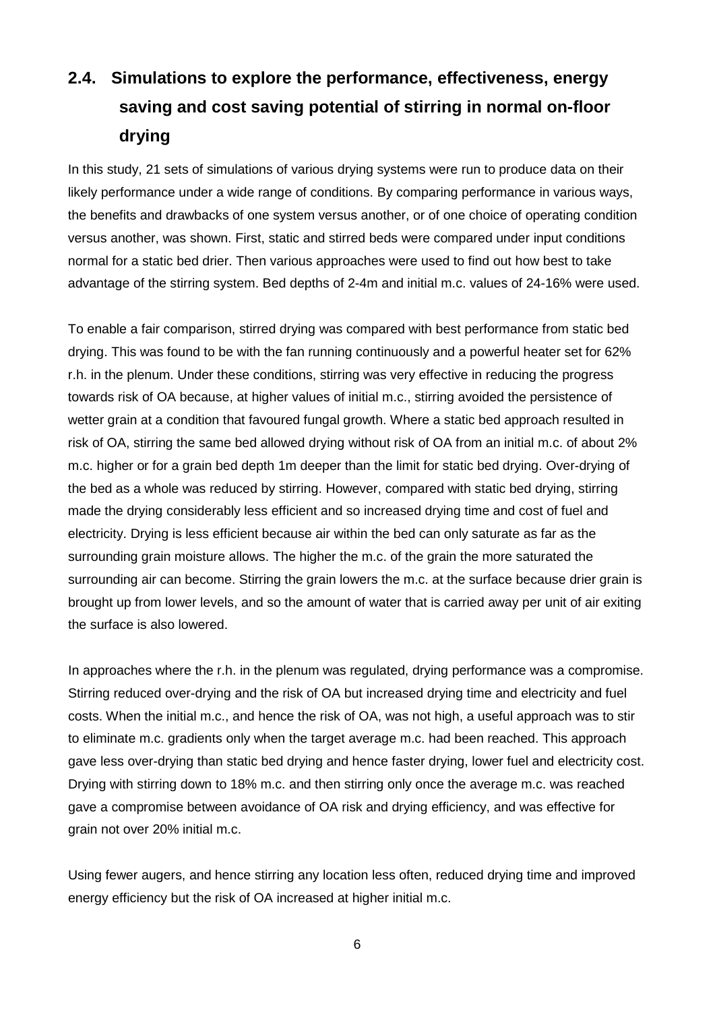# **2.4. Simulations to explore the performance, effectiveness, energy saving and cost saving potential of stirring in normal on-floor drying**

In this study, 21 sets of simulations of various drying systems were run to produce data on their likely performance under a wide range of conditions. By comparing performance in various ways, the benefits and drawbacks of one system versus another, or of one choice of operating condition versus another, was shown. First, static and stirred beds were compared under input conditions normal for a static bed drier. Then various approaches were used to find out how best to take advantage of the stirring system. Bed depths of 2-4m and initial m.c. values of 24-16% were used.

To enable a fair comparison, stirred drying was compared with best performance from static bed drying. This was found to be with the fan running continuously and a powerful heater set for 62% r.h. in the plenum. Under these conditions, stirring was very effective in reducing the progress towards risk of OA because, at higher values of initial m.c., stirring avoided the persistence of wetter grain at a condition that favoured fungal growth. Where a static bed approach resulted in risk of OA, stirring the same bed allowed drying without risk of OA from an initial m.c. of about 2% m.c. higher or for a grain bed depth 1m deeper than the limit for static bed drying. Over-drying of the bed as a whole was reduced by stirring. However, compared with static bed drying, stirring made the drying considerably less efficient and so increased drying time and cost of fuel and electricity. Drying is less efficient because air within the bed can only saturate as far as the surrounding grain moisture allows. The higher the m.c. of the grain the more saturated the surrounding air can become. Stirring the grain lowers the m.c. at the surface because drier grain is brought up from lower levels, and so the amount of water that is carried away per unit of air exiting the surface is also lowered.

In approaches where the r.h. in the plenum was regulated, drying performance was a compromise. Stirring reduced over-drying and the risk of OA but increased drying time and electricity and fuel costs. When the initial m.c., and hence the risk of OA, was not high, a useful approach was to stir to eliminate m.c. gradients only when the target average m.c. had been reached. This approach gave less over-drying than static bed drying and hence faster drying, lower fuel and electricity cost. Drying with stirring down to 18% m.c. and then stirring only once the average m.c. was reached gave a compromise between avoidance of OA risk and drying efficiency, and was effective for grain not over 20% initial m.c.

Using fewer augers, and hence stirring any location less often, reduced drying time and improved energy efficiency but the risk of OA increased at higher initial m.c.

6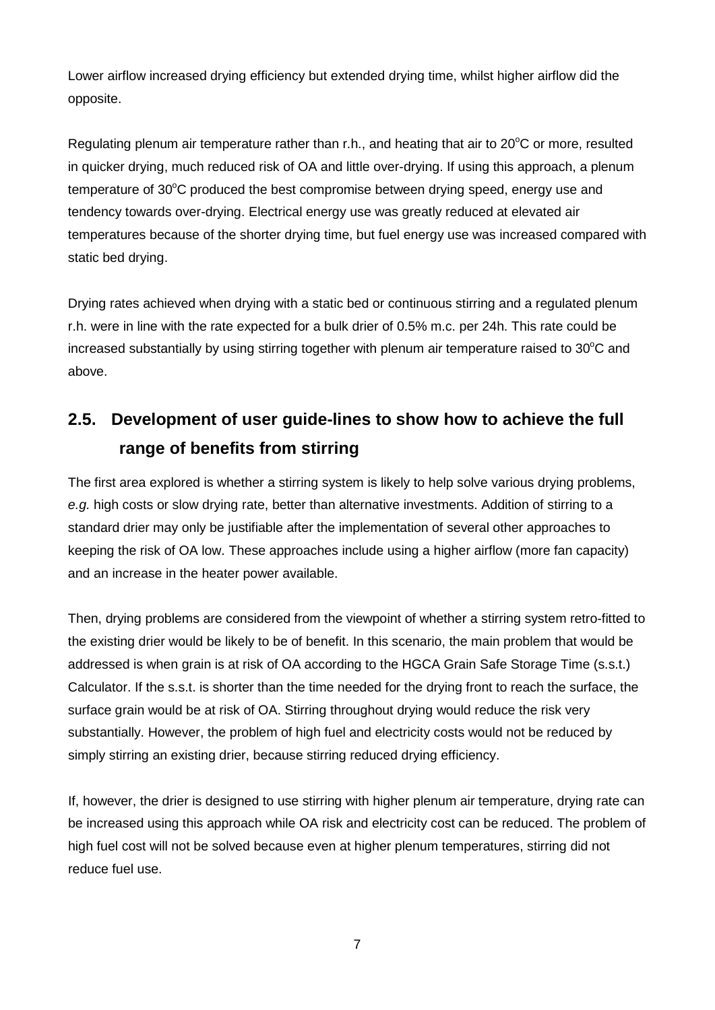Lower airflow increased drying efficiency but extended drying time, whilst higher airflow did the opposite.

Regulating plenum air temperature rather than r.h., and heating that air to 20°C or more, resulted in quicker drying, much reduced risk of OA and little over-drying. If using this approach, a plenum temperature of  $30^{\circ}$ C produced the best compromise between drying speed, energy use and tendency towards over-drying. Electrical energy use was greatly reduced at elevated air temperatures because of the shorter drying time, but fuel energy use was increased compared with static bed drying.

Drying rates achieved when drying with a static bed or continuous stirring and a regulated plenum r.h. were in line with the rate expected for a bulk drier of 0.5% m.c. per 24h. This rate could be increased substantially by using stirring together with plenum air temperature raised to  $30^{\circ}$ C and above.

# **2.5. Development of user guide-lines to show how to achieve the full range of benefits from stirring**

The first area explored is whether a stirring system is likely to help solve various drying problems, *e.g.* high costs or slow drying rate, better than alternative investments. Addition of stirring to a standard drier may only be justifiable after the implementation of several other approaches to keeping the risk of OA low. These approaches include using a higher airflow (more fan capacity) and an increase in the heater power available.

Then, drying problems are considered from the viewpoint of whether a stirring system retro-fitted to the existing drier would be likely to be of benefit. In this scenario, the main problem that would be addressed is when grain is at risk of OA according to the HGCA Grain Safe Storage Time (s.s.t.) Calculator. If the s.s.t. is shorter than the time needed for the drying front to reach the surface, the surface grain would be at risk of OA. Stirring throughout drying would reduce the risk very substantially. However, the problem of high fuel and electricity costs would not be reduced by simply stirring an existing drier, because stirring reduced drying efficiency.

If, however, the drier is designed to use stirring with higher plenum air temperature, drying rate can be increased using this approach while OA risk and electricity cost can be reduced. The problem of high fuel cost will not be solved because even at higher plenum temperatures, stirring did not reduce fuel use.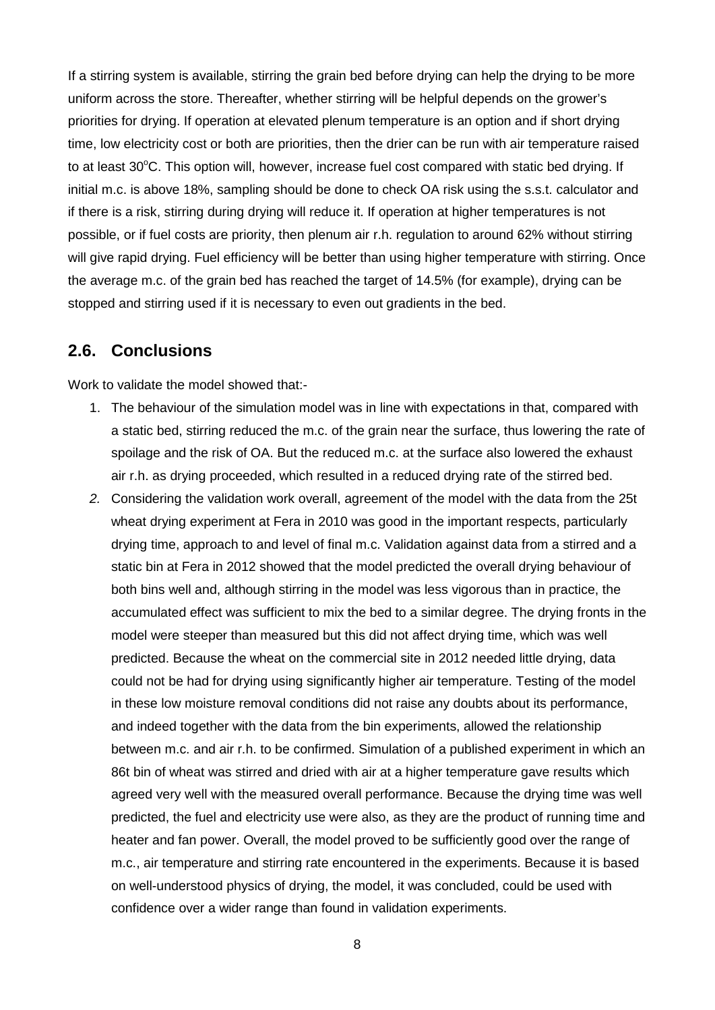If a stirring system is available, stirring the grain bed before drying can help the drying to be more uniform across the store. Thereafter, whether stirring will be helpful depends on the grower's priorities for drying. If operation at elevated plenum temperature is an option and if short drying time, low electricity cost or both are priorities, then the drier can be run with air temperature raised to at least 30°C. This option will, however, increase fuel cost compared with static bed drying. If initial m.c. is above 18%, sampling should be done to check OA risk using the s.s.t. calculator and if there is a risk, stirring during drying will reduce it. If operation at higher temperatures is not possible, or if fuel costs are priority, then plenum air r.h. regulation to around 62% without stirring will give rapid drying. Fuel efficiency will be better than using higher temperature with stirring. Once the average m.c. of the grain bed has reached the target of 14.5% (for example), drying can be stopped and stirring used if it is necessary to even out gradients in the bed.

#### **2.6. Conclusions**

Work to validate the model showed that:-

- 1. The behaviour of the simulation model was in line with expectations in that, compared with a static bed, stirring reduced the m.c. of the grain near the surface, thus lowering the rate of spoilage and the risk of OA. But the reduced m.c. at the surface also lowered the exhaust air r.h. as drying proceeded, which resulted in a reduced drying rate of the stirred bed.
- *2.* Considering the validation work overall, agreement of the model with the data from the 25t wheat drying experiment at Fera in 2010 was good in the important respects, particularly drying time, approach to and level of final m.c. Validation against data from a stirred and a static bin at Fera in 2012 showed that the model predicted the overall drying behaviour of both bins well and, although stirring in the model was less vigorous than in practice, the accumulated effect was sufficient to mix the bed to a similar degree. The drying fronts in the model were steeper than measured but this did not affect drying time, which was well predicted. Because the wheat on the commercial site in 2012 needed little drying, data could not be had for drying using significantly higher air temperature. Testing of the model in these low moisture removal conditions did not raise any doubts about its performance, and indeed together with the data from the bin experiments, allowed the relationship between m.c. and air r.h. to be confirmed. Simulation of a published experiment in which an 86t bin of wheat was stirred and dried with air at a higher temperature gave results which agreed very well with the measured overall performance. Because the drying time was well predicted, the fuel and electricity use were also, as they are the product of running time and heater and fan power. Overall, the model proved to be sufficiently good over the range of m.c., air temperature and stirring rate encountered in the experiments. Because it is based on well-understood physics of drying, the model, it was concluded, could be used with confidence over a wider range than found in validation experiments.